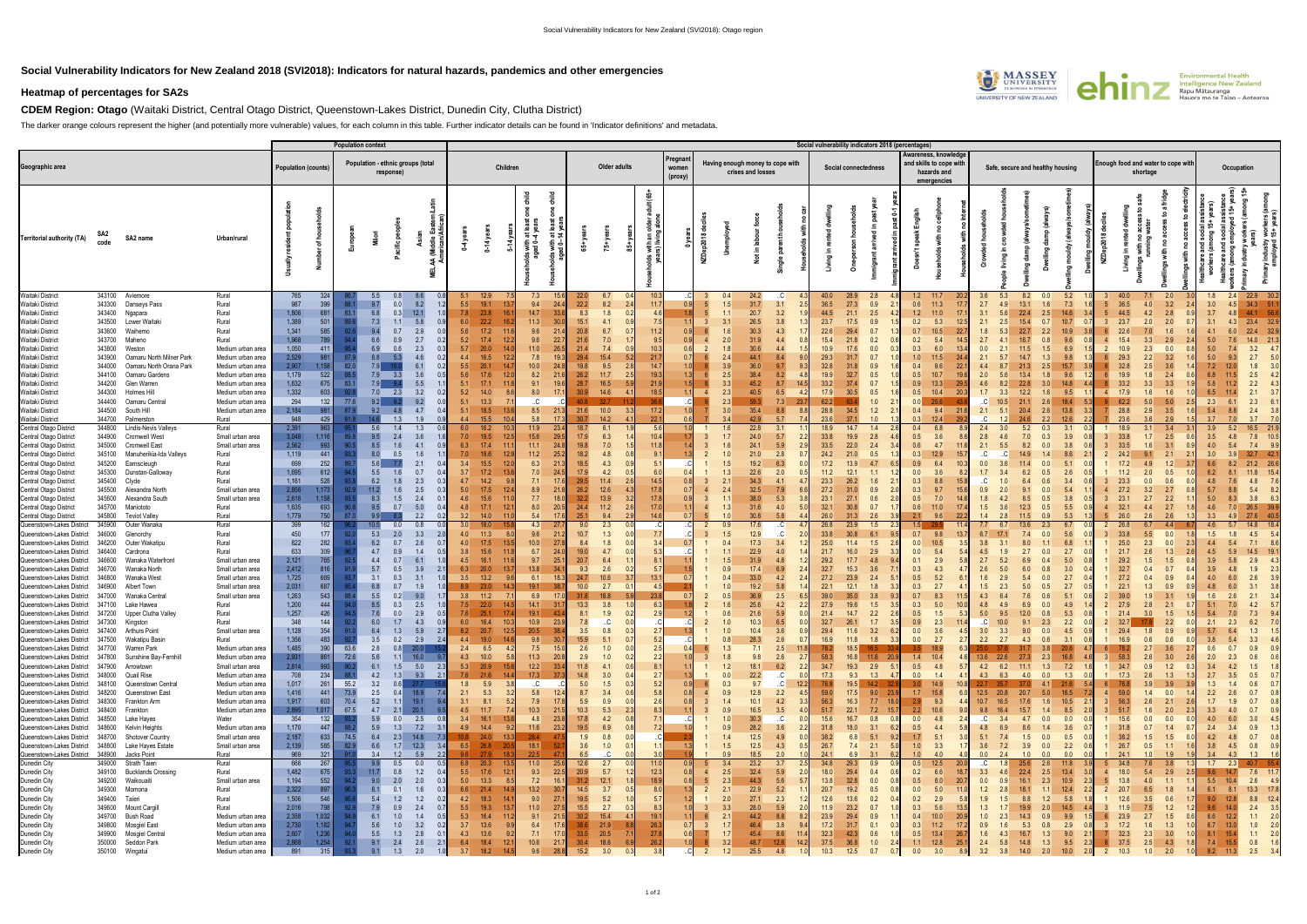## **Social Vulnerability Indicators for New Zealand 2018 (SVI2018): Indicators for natural hazards, pandemics and other emergencies**

## **Heatmap of percentages for SA2s**

**CDEM Region: Otago** (Waitaki District, Central Otago District, Queenstown-Lakes District, Dunedin City, Clutha District)

The darker orange colours represent the higher (and potentially more vulnerable) values, for each column in this table. Further indicator details can be found in 'Indicator definitions' and metadata.

|                                                                                                 |                        |                                                |                                        |                |                                                | <b>Population context</b> |                          |                                          |                  |                                |                              |                            |              |              |                       |              |                                  |                   |                         |                |             |                | Social vulnerability indicators 2018 (percentages) |                                   |                         |                                                 |                      |                                  |                                 |                 |                            |                                                |                                  |                   |                          |             |                           |                            |                          |
|-------------------------------------------------------------------------------------------------|------------------------|------------------------------------------------|----------------------------------------|----------------|------------------------------------------------|---------------------------|--------------------------|------------------------------------------|------------------|--------------------------------|------------------------------|----------------------------|--------------|--------------|-----------------------|--------------|----------------------------------|-------------------|-------------------------|----------------|-------------|----------------|----------------------------------------------------|-----------------------------------|-------------------------|-------------------------------------------------|----------------------|----------------------------------|---------------------------------|-----------------|----------------------------|------------------------------------------------|----------------------------------|-------------------|--------------------------|-------------|---------------------------|----------------------------|--------------------------|
|                                                                                                 |                        |                                                |                                        |                | Population - ethnic groups (total<br>response) |                           |                          | Children                                 |                  |                                |                              |                            |              |              |                       | Pregnan      | Having enough money to cope with |                   |                         |                |             |                |                                                    |                                   |                         | Awareness, knowledge<br>and skills to cope with |                      |                                  |                                 |                 |                            |                                                |                                  |                   |                          |             |                           |                            |                          |
| Geographic area                                                                                 |                        |                                                |                                        |                |                                                |                           |                          |                                          |                  |                                |                              | <b>Population (counts)</b> | Older adults |              |                       |              | women<br>(proxy)                 | crises and losses |                         |                |             |                | Social connectedness                               |                                   |                         | hazards and                                     |                      | Safe, secure and healthy housing |                                 |                 |                            | nough food and water to cope with:<br>shortage |                                  |                   |                          |             | Occupation                |                            |                          |
|                                                                                                 |                        |                                                |                                        |                |                                                |                           |                          |                                          |                  |                                |                              |                            |              |              |                       |              |                                  |                   |                         |                |             |                |                                                    |                                   |                         |                                                 | emergencies          |                                  |                                 |                 |                            |                                                |                                  |                   |                          |             |                           |                            |                          |
| <b>Territorial authority (TA)</b>                                                               | SA <sub>2</sub>        | SA2 name                                       | Urban/rural                            |                |                                                |                           |                          |                                          |                  |                                | $\frac{1}{2}$                |                            |              | ந்           | ė                     |              |                                  | 2018<br>ង្គី      |                         |                |             |                | ∽                                                  |                                   |                         |                                                 |                      |                                  |                                 |                 |                            |                                                |                                  | $\epsilon$<br>្ទិ |                          |             |                           |                            |                          |
| Waitaki District                                                                                |                        | 343100 Aviemore                                | Rural                                  | 765            |                                                |                           |                          |                                          |                  |                                | 7.3                          |                            |              |              |                       |              |                                  |                   |                         |                |             |                |                                                    |                                   | 2.8                     |                                                 |                      |                                  |                                 |                 |                            | 5.2                                            |                                  | 40.0              |                          |             |                           | 2.4<br>22.9                |                          |
| Waitaki District                                                                                | 343300                 | Danseys Pass                                   | Rural                                  | 987            | 399                                            |                           | 0.0                      | 8.2                                      | 5.5              | 19.1<br>13.                    | 9.4                          | 24.4                       | 22.2         | 8.2          |                       |              |                                  |                   | 1.5                     | 31.7           | 3.1         |                | 36.5                                               | 27.3                              | 0.9                     | 0.6                                             | 11.3                 | 2.7<br>17.7                      | 4.9                             | 13.1            | 1.6                        | 7.3                                            | 5                                | 36.5              | 4.0<br>3.2               |             | 3.0                       | 34.3<br>4.5                | $-51$                    |
| Waitaki District<br>Waitaki District                                                            | 343500                 | 343400 Ngapara<br>Lower Waitaki                | Rural<br>Rural                         | 1,806<br>1,389 | 681<br>501                                     | 83.                       | 0.3<br>6.8<br>7.3<br>1.1 | 12.1<br>5.8<br>0.9                       | 7.8<br>6.0       | 23.8<br>16<br>22.2             | 14.7<br>11.3                 | 33.6<br>30.0               | 8.3<br>15.1  | 1.8<br>4.1   | 0.2                   |              |                                  |                   |                         | 20.7<br>26.5   | 3.2<br>3.8  |                | 44.5<br>23.7                                       | 21.1<br>17.5                      | 2.5<br>0.9              | 1.2<br>0.2                                      | $11.0$<br>5.3        | 3.1<br>2.1                       | 5.6                             | 22.4<br>15.4    | 2.5<br>0.7                 | 14.6<br>10.7                                   | 5 <sup>5</sup><br>3              | 44.5<br>23.7      | 4.2<br>2.8<br>2.0<br>2.0 |             | 3.7<br>3.1                | 44.1<br>23.4<br>4.3        | 32.9                     |
| Waitaki District                                                                                | 343600                 | Waihemo                                        | Rural                                  | 1,341          | 585                                            |                           | 0.7                      |                                          | 5.6              | 17.2                           | 9.6                          | 21.                        | 20.8         |              |                       |              |                                  |                   |                         | 30.3           |             |                | 22.6                                               | 29.4                              | 0.7                     | 0.7                                             | 10.5                 |                                  |                                 | 22.7            | 2.2                        | 10.9                                           |                                  | 22.6              | 7.0                      |             |                           | 22.4                       | 32.9                     |
| Waitaki District                                                                                | 343700                 | Maheno                                         | Rural                                  | 1,968<br>1,050 | 789<br>411                                     |                           | 0.9<br>6.6<br>6.9        | 2.7                                      | 5.2<br>5.7       | 17.4<br>12                     | 9.6                          | 22.                        | 21.6         | 7.0          |                       | 9.5          |                                  |                   | 2.0                     | 31.9<br>30.6   | 4.4<br>4.4  |                | 15.4                                               | 21.8                              | 0.2                     | 0.2                                             | 5.4<br>6.0           |                                  |                                 |                 | 0.8                        | 9.6                                            |                                  | 15.4              | 3.3<br>2.9               |             |                           |                            |                          |
| Waitaki District<br>Waitaki District                                                            | 343800<br>343900       | Weston<br>Oamaru North Milner Park             | Medium urban area<br>Medium urban area | 2,529          | 981                                            | -87                       | 0.6<br>8.8<br>5.3        | 2.3<br>4.6                               | 4.4              | 20.0                           |                              | 26<br>19.                  | 21.4<br>29.4 | 7.4<br>15.4  |                       | 21           |                                  |                   | 2.4                     |                |             |                | 10.9<br>29.3                                       | 17.6<br>31.7                      | 0.0<br>0.7              | 0.3<br>1.0                                      | 11.5                 |                                  |                                 |                 | 1.5<br>1.3                 | 6.9<br>9.8                                     |                                  | 10.9<br>29.3      | 2.3<br>0.0<br>2.2        |             |                           | 3.2<br>2.7                 |                          |
| Waitaki District                                                                                | 344000                 | Oamaru North Orana Park                        | Medium urban area                      | 2,907          | 1,158                                          | 82.0                      |                          | 6.1                                      | 5.5              |                                | 10.0                         | 24.                        | 19.8         | 9.5          |                       | 14           |                                  |                   | 3.9                     | 36.0           |             | 9.3            | 32.8                                               | 31.8                              | 0.9                     | 0.4                                             | 9.6                  |                                  |                                 |                 |                            | 15.7                                           |                                  | 32.8              | 2.5                      |             |                           |                            |                          |
| Waitaki District<br>Waitaki District                                                            | 344100<br>344200       | Oamaru Gardens<br>Glen Warren                  | Medium urban area<br>Medium urban area | 1,179<br>1,632 | 522<br>675                                     | 83.                       | 3.3<br>7.9<br>7.9        | 3.6<br>5.5                               | 5.6<br>5.1       | 17.6                           | 12.<br>9.1                   | 19.6                       | 26.2<br>28.7 | 11.7<br>16.5 |                       | 19.3<br>21.9 |                                  |                   | 2.5<br>3.3 <sup>2</sup> | 38.4<br>45.2   | 8.2<br>8.7  | 4.8            | 19.9<br>33.2                                       | 32.7<br>37.4                      | 0.5<br>0.7              | 0.5<br>0.9                                      | 10.7<br>13.3         |                                  |                                 |                 | 1.8                        | 9.6                                            |                                  | 19.9<br>33.2      | 2.4<br>1.8               |             | 5.8                       | 2.2                        |                          |
| Waitaki District                                                                                | 344300                 | Holmes Hill                                    | Medium urban area                      | 1,332          | 603                                            |                           | 2.3<br>7.0               | 3.2<br>-0.2                              | 5.2              | 14.0                           | 8.0                          | 17                         | 30.9         | 14.6         |                       | 18.5         |                                  |                   | 2.3                     | 40.5           | 6.5         | 4:             | 17.9                                               | 30.5                              | 0.5                     | 0.5                                             | 10.4                 |                                  |                                 |                 |                            | 9.5                                            |                                  | 17.9              |                          |             |                           | 2.1                        |                          |
| Waitaki District                                                                                | 344400                 | Oamaru Central                                 | Medium urban area                      | 294            | 132                                            | 77.6                      |                          | 9.2                                      | 5.1              | 13.3                           |                              |                            | 40.8         |              |                       |              |                                  |                   |                         | 59.3           | 7.3         |                | 62.2                                               |                                   | 1.0                     | 0.0                                             |                      |                                  |                                 |                 | 2.6                        | 18.4                                           |                                  | 62.2              | 5.0<br>5.0               |             | 2.3                       | 2.3                        |                          |
| Waitaki District<br>Waitaki District                                                            | 344500<br>344700       | South Hill<br>Palmerston                       | Medium urban area<br>Rural             | 2,184<br>948   | 981<br>429                                     | 87.9<br>91.8              | 9.2<br>4.8<br>1.3        | 0 <sub>4</sub><br>4.7<br>1.9<br>$\Omega$ | 5.1<br>4.4       | 18.5<br>15.5                   | 8.5<br>13.6<br>5.8<br>10.    | 21<br>17                   | 21.6<br>30.7 | 10.0<br>14.2 |                       | 17<br>22     |                                  |                   | 3.0<br>3.4              | 35.4<br>42.9   | 8.8<br>5.7  | 8.8            | 28.8<br>23.6                                       | 34.5                              | 1.2<br>1.0              | 0.4<br>0.3                                      | 9.4<br>12.4          | 2.1                              |                                 | 20.4<br>24.6    | 2.6<br>2.2                 | 13.8<br>12.6                                   |                                  | 28.8<br>23.6      | 2.9<br>3.5<br>2.9<br>3.6 |             | 5.4<br>3.7                | 2.4<br>8.8<br>7.0<br>3.7   |                          |
| Central Otago District                                                                          | 344800                 | Lindis-Nevis Valleys                           | Rural                                  | 2,391          | 963                                            |                           | 5.6<br>1.4               | 1.3                                      | 6.0              | 16.2                           | 11.9                         | 23.4                       | 18.7         | 6.1          |                       |              |                                  |                   | 1.6                     | 22.8           | 3.1         |                | 18.9                                               | 14.7                              | 1.4                     | 0.4                                             | 6.8                  | 2.4                              | 3.0                             | 5.2             | 0.3                        | 3.1                                            |                                  | 18.9              | 3.4<br>3.1               |             | 3.9                       | 5.2<br>16.5                |                          |
| Central Otago District                                                                          | 344900                 | <b>Cromwell West</b>                           | Small urban area                       | 3,048          | 1,116                                          |                           | 9.5<br>2.4               | 3.6                                      | 7.0              | 19.5                           | 15.6<br>12.5                 | 29.5                       | 17.9         | 6.3          |                       |              |                                  |                   | 17                      | 24.0           | 5.7         | 2.2            | 33.8                                               | 19.9                              | 2.8                     | 0.5                                             | 3.6                  | 2.8                              |                                 | 7.0             | 0.3                        | 3.9                                            |                                  | 33.8              | 1.7<br>2.5               |             | 3.5                       | 7.8<br>4.8                 | 10.5                     |
| Central Otago District<br>Central Otago District                                                | 345000<br>345100       | Cromwell East<br>Manuherikia-Ida Valleys       | Small urban area<br>Rural              | 2,562<br>1,119 | 993<br>441                                     |                           | 8.5<br>8.0<br>0.5        | 1.6                                      | 6.3<br>7.0       | 19.6                           | 11.1<br>$11.2$<br>12.9       | 24.8<br>25.2               | 19.8<br>18.2 | 7.0<br>4.8   |                       |              |                                  |                   |                         | 24.1<br>21.0   | 5.9<br>2.8  | 2.9<br>0.7     | 33.5<br>24.2                                       | 22.0<br>21.0                      | 2.4<br>0.5              | 0.6<br>0.3                                      | 4.7<br>12.9          |                                  |                                 |                 | 1.4                        | 3.8<br>8.6                                     | 3<br>$\overline{2}$              | 33.5<br>24.2      | 3.1<br>2.1<br>9.1        |             | 4.0<br>3.0                | 7.4<br>32.7                | - 42                     |
| Central Otago District                                                                          | 345200                 | Earnscleugh                                    | Rural                                  | 699            | 252                                            |                           | 5.6                      | 2.1                                      | 3.4              | 15.5                           | 6.3                          | 21.                        | 18.5         | 4.3          |                       |              |                                  |                   |                         | 19.2           | 6.3         |                | 17.2                                               | 13.9                              | 4.7                     | 0.9                                             | 6.4                  | 0.0                              |                                 |                 | 0.0                        | 5.1                                            |                                  | 17.2              | 4.9<br>1.2               |             | 6.6                       | 21.2<br>8.2                | 26.6                     |
| Central Otago District                                                                          | 345300<br>345400 Clyde | Dunstan-Galloway                               | Rural<br>Rural                         | 1,695<br>1,161 | 612<br>528                                     |                           | 5.5<br>6.2               | 0.7<br>2.3                               | 3.7<br>4.7       | 14.2                           | 7.0                          | 24.<br>17 <sup>5</sup>     | 17.9<br>29.5 | 4.2<br>11.4  |                       |              |                                  |                   |                         | 22.6<br>34.3   | 2.0         |                | 11.2<br>23.3                                       | 12.1<br>26.2                      |                         | 0.0<br>0.3                                      | 3.6<br>8.8           |                                  |                                 |                 |                            |                                                |                                  | 11.2<br>23.3      | 2.0<br>0.0               |             |                           |                            |                          |
| Central Otago District<br>Central Otago District                                                | 345500                 | Alexandra North                                | Small urban area                       | 2,856          | 1,173                                          |                           | 11.2                     | 2.5                                      | 5.0              |                                |                              |                            | 26.2         | 12.6         |                       |              |                                  |                   |                         | 32.5           |             |                | 27.2                                               | 31.0                              | 0.9                     | 0.3                                             | 9.7                  | 0 <sup>9</sup>                   |                                 |                 |                            | 5.4                                            | $\overline{4}$                   | 27.2              | 3.2<br>2.7               |             |                           | 5.4                        |                          |
| Central Otago District                                                                          | 345600                 | Alexandra South                                | Small urban area                       | 2,616          | 1,158                                          |                           | 8.3<br>1.5               | 2.4<br>$\Omega$                          | 4.6              |                                | 7.7                          | 18.                        | 32.2         | 13.9         |                       |              |                                  |                   |                         | 38.0           | 5.3         |                | 23.1                                               | 27.1                              | 0.6                     | 0.5                                             | 7.0                  |                                  |                                 |                 |                            | 3.8                                            | 3                                | 23.1              | 2.7<br>2.2               |             | 5.0                       | 3.8<br>8.3                 |                          |
| Central Otago District<br>Central Otago District                                                | 345700<br>345800       | Maniototo<br><b>Teviot Valley</b>              | Rural<br>Rural                         | 1,635<br>1,779 | 693<br>750                                     | 87.0                      | 9.5<br>0.7<br>9.9        | 5.0<br>0.4<br>2.2                        | 4.8<br>3.2       | 17.1<br>12.<br>14.0            | 8.0<br>5.4                   | 20.5<br>17 <sup>1</sup>    | 24.4<br>25.1 | 11.2<br>9.4  |                       |              |                                  |                   | 1.3<br>1 <sub>0</sub>   | 31.6<br>30.8   | 4.0<br>5.8  | 5.0            | 32.1<br>26.0                                       | 30.8<br>31.3                      | 0.7<br>2.6              | 0.6<br>2.1                                      | 11.0<br>9.6          | 1.5<br>1.4                       | 3.6<br>2.8                      | 12.3<br>11.5    | 0.5<br>0.9                 | 5.5<br>5.3                                     | $\overline{4}$                   | 32.1<br>26.0      | 2.7<br>4.4<br>2.6<br>2.6 |             | 4.6<br>3.3                | 7.0<br>26.5<br>27.6<br>4.9 | - 39.91<br>40.5          |
| Queenstown-Lakes District                                                                       | 345900                 | Outer Wanaka                                   | Rural                                  | 399            | 162                                            |                           | 10.5<br>0.0              | 0.8                                      | 3.0 <sub>1</sub> | 18.0                           | 4.3                          | 27.                        | 9.0          | 2.3          | $\Omega$              |              |                                  |                   | 0.9                     | 17.6           | .C.         |                | 26.8                                               | 23.9                              | 1.5                     | 1.5                                             |                      |                                  |                                 |                 | 2.3                        | 6.7                                            |                                  | 26.8              | 4.4<br>6.7               |             |                           | 14.8                       |                          |
| Queenstown-Lakes District                                                                       | 346000                 | Glenorchy                                      | Rural                                  | 450            | 177                                            |                           | 2.0<br>5.3               | 3.3<br>2.0                               | 4.0              | 11.3                           | 9.6                          | 21.2                       | 10.7         | 1.3          |                       |              |                                  |                   | 1.5                     | $12.9$         | .C.         | 2.0            | 33.8                                               | 30.8                              | 6.1                     | 0.7                                             | 9.8                  | 6.7<br>13.7                      |                                 |                 | 0.0                        | 5.6                                            | $\mathbf{3}$                     | 33.8              | 5.5<br>0.0               |             | 1.5                       | 4.5<br>1.8                 |                          |
| Queenstown-Lakes District<br>Queenstown-Lakes District                                          | 346200<br>346400       | Outer Wakatipu<br>Cardrona                     | Rural<br>Rural                         | 822<br>633     | 282<br>309                                     |                           | 6.2<br>0.7<br>4.7        | 2.6<br>$\Omega$                          | 4.0<br>3.8       | 17.5<br>13<br>15.6             | 10.0<br>6.7                  | 27.<br>24.0                | 8.4<br>19.0  | 1.8<br>4.7   |                       |              |                                  |                   | 04                      | 17.3<br>22.9   | 3.4<br>4.0  |                | 25.0<br>21.7                                       | 11.4<br>16.0                      | 1.5<br>2.9              | 0.0<br>0.0                                      | 10.5<br>5.4          | 3.8                              |                                 |                 |                            | 6.8<br>2.7                                     |                                  | 25.0<br>21.7      | 2.3<br>0.0<br>2.6<br>1.3 |             | 4.4<br>4.5                | 7.1                        |                          |
| Queenstown-Lakes District                                                                       | 346600                 | Wanaka Waterfront                              | Small urban area                       | 2,121          | 765                                            |                           | 4.4<br>07                | 6.1                                      | 4.5              | 16.1                           | 9.7                          | 25.                        | 20.7         | 6.4          |                       |              |                                  |                   |                         | 31.9           | 4.8         |                | 29.2                                               | 17.7                              | 4.8                     | 0.1                                             | 2.9                  | 27                               |                                 |                 |                            | 5.0                                            |                                  | 29.2              | 1.5<br>1.5               |             |                           |                            |                          |
| Queenstown-Lakes District<br>Queenstown-Lakes District                                          | 346700                 | Wanaka North                                   | Small urban area                       | 2,412<br>1,725 | 816<br>669                                     |                           | 5.7<br>0.5<br>0.3<br>3.1 |                                          | 6.3              | 20.0<br>13.2                   | 13.8<br>6.1                  | 34<br>18.3                 | 9.3<br>24.7  | 2.6          |                       |              |                                  |                   | 0.9                     | 17.4<br>33.0   | 4.2         | 2.4            | 32.7<br>27.2                                       | 15.3<br>23.9                      | 2.4                     | 0.3<br>0.5                                      | 4.3<br>5.2           |                                  |                                 |                 |                            | 2.7                                            |                                  | 32.7<br>27.2      | 0.4<br>0.9<br>0.4        |             |                           |                            |                          |
| Queenstown-Lakes District                                                                       | 346800<br>346900       | Wanaka West<br>Albert Town                     | Small urban area<br>Small urban area   | 2,031          | 687                                            |                           | 6.8<br>07                |                                          | 3.5<br>8.9       | 23.0                           | 19.1<br>14.                  | 38.                        | 10.0         | 10.6<br>2.7  |                       |              |                                  |                   |                         | 19.2           | 5.8         |                | 22.1                                               | 12.1                              |                         | 0.3                                             | 2.7                  |                                  |                                 |                 |                            | 2.7                                            |                                  | 22.7              | 1.3<br>0.9               |             |                           |                            |                          |
| Queenstown-Lakes District                                                                       | 347000                 | Wanaka Central                                 | Small urban area                       | 1,263          | 543                                            |                           | 5.5<br>0.2               | 9.0                                      | 3.8              | 11.2                           | 6.9                          | 17.                        | 31.8         |              |                       |              |                                  |                   |                         |                | 2.5         |                | 39.0                                               |                                   |                         | 0.7                                             | 8.3                  |                                  |                                 |                 |                            |                                                |                                  | 39(               | 1.9                      |             |                           |                            |                          |
| Queenstown-Lakes District 347100<br>Queenstown-Lakes District 347200                            |                        | Lake Hawea<br>Upper Clutha Valley              | Rural<br>Rural                         | 1,200<br>1,257 | 444<br>426                                     |                           | 8.5<br>0.3<br>0.0<br>7.6 | 2.5<br>0.5                               | 7.5<br>7.6       | 22.0<br>25.1                   | 14.1<br>17.4<br>19.1         | 31<br>43.4                 | 13.3<br>8.1  | 3.8<br>1.9   |                       |              |                                  |                   | 1.6                     | 25.6           | 4.2<br>5.9  | 2.2<br>0.0     | 27.9<br>21.4                                       | 19.6<br>14.7                      | 1.5<br>2.2              | 0.3<br>0.5                                      | 5.0<br>1.5           |                                  |                                 |                 |                            | 4.9<br>5.3                                     | $\overline{2}$                   | 27.9<br>21.4      | 2.1<br>2.8<br>3.0<br>1.5 |             |                           |                            |                          |
| Queenstown-Lakes District 347300                                                                |                        | Kingston                                       | Rural                                  | 348            | 144                                            |                           | 6.0<br>1.7               | 0.9<br>4.3                               | 6.0              | 16.4                           | 10.3<br>10.9                 | 23.9                       | 7.8          | C            |                       |              |                                  |                   |                         | 10.3           | 6.5         |                | 32.7                                               | 26.1                              | 1.7                     | 0.9                                             | 2.3                  |                                  |                                 |                 | 2.3                        | 2.2                                            | $\overline{2}$                   | 32.7              | 2.2                      |             | 2.1                       | 2.3<br>6.2                 |                          |
| Queenstown-Lakes District 347400                                                                |                        | <b>Arthurs Point</b>                           | Small urban area                       | 1,128          | 354                                            |                           | 1.3<br>6.4               | 5.9<br>2.7                               | 8.2              | 20.7                           | 20.5<br>12.5                 | 38.                        | 3.5          | 0.8          |                       |              |                                  |                   | 1 <sub>0</sub>          | 10.4           | 3.6         | 0.9            | 29.4                                               | 11.6                              | 3.2                     | 0.0                                             | 3.6                  | 3.0                              | 3.3                             | 9.0             | 0.0                        | 4.5                                            |                                  | 29.4              | 0.9<br>1.8               |             | 5.7                       | 6.4<br>1.3                 |                          |
| Queenstown-Lakes District 347500 Wakatipu Basin<br>Queenstown-Lakes District 347700 Warren Park |                        |                                                | Rural<br>Medium urban area             | 1,356<br>1,485 | 483<br>390                                     | 63.6                      | 0.2<br>3.5<br>2.8<br>0.8 | 2.9<br>2.4<br>20.0                       | 4.4<br>2.4       | 19.0<br>6.5                    | -14.6<br>7.5                 | 30<br>15.0                 | 2.6          | 1.0          | 0.0                   | 2.5          |                                  |                   | 1.3                     | 7.1            | 2.5         | 11.8           | 16.9<br>78.2                                       | 11.8 1.8<br>$18.5$ 16.5           | 3.3                     | 0.0<br>3.5                                      | 2.7<br>18.9          | 2.7<br>25.0                      | $2.2$ $2.7$ $4.3$<br>- 37.6     | 31.7            | 0.6<br>$3.8$ 20.6          | 3.1                                            | $6 \mid$                         | 16.9<br>78.2      | 0.6<br>0.6<br>2.7<br>3.6 |             | 0.6                       | 3.3<br>0.7<br>0.9          |                          |
| Queenstown-Lakes District 347800                                                                |                        | Sunshine Bay-Fernhill                          | Medium urban area                      | 2,931          | 861                                            | 72.6                      | 5.6<br>1.1               | 16.0                                     |                  | 4.3 10.0                       | 11.3                         | 20.8                       | 2.9          | 1.0          | 0.2                   | 2.2          |                                  |                   | 1.8                     | 9.8            | 2.6         | 2.7            | 58.3                                               | 16.8 11.6 20.9                    |                         | $1.4$ 10.4                                      |                      |                                  | 13.6 22.6                       | 27.3            | $2.3$ 16.8                 |                                                | 3 <sup>1</sup>                   | 58.3              | 2.6<br>3.0               |             | 2.0                       | 2.3                        | $0.6$ 0.6                |
| Queenstown-Lakes District 347900 Arrowtown<br>Queenstown-Lakes District 348000                  |                        | Quail Rise                                     | Small urban area                       | 2,814<br>708   | 993<br>234                                     | 90.2<br>88.1              | 6.1<br>4.2               | $1.5$ $5.0$<br>2.3<br>$1.3$ $9.3$ $2.1$  |                  | 5.3 20.9                       | 12.2<br>15.6<br>17.3<br>14.4 | 33.4<br>37.3               | 11.8<br>14.8 | 4.1<br>3.0   | 0.6<br>0.4            | 2.7          |                                  |                   | 1.2<br>0.0              | 18.1<br>22.2   | 6.2         | 2.2<br>0.0     | 34.7<br>17.3                                       | 19.3 2.9 5.1                      |                         | 0.5<br>0.0                                      | 4.8<br>1.4           |                                  | 4.2 6.2 11.1<br>$4.3\qquad 6.3$ |                 | $1.3$ $7.2$<br>4.0 0.0 1.3 |                                                | 1                                | 34.7<br>17.3      | 0.9<br>1.2<br>2.6<br>1.3 |             | 3.4                       | 4.2<br>1.5<br>3.5<br>0.5   | 1.8                      |
| Queenstown-Lakes District 348100                                                                |                        | Queenstown Central                             | Medium urban area<br>Medium urban area | 1,017          | 261                                            | 55.2                      | 3.2<br>0.6               | 27.7                                     | 1.8              | 7.6 21.6<br>5.9                | 3.8<br>.C.                   |                            | 5.0          | 1.5          | 0.3                   | 5.2          |                                  |                   | 0.3                     | 9.7            | .C.<br>.C.  | 12.2           | 76.8                                               | $9.3$ $1.3$ $4.7$<br>19.5 14.2 32 |                         | 3.0                                             | 14.9                 | 22.7                             |                                 |                 | 4.1                        | 21.6                                           | $6 \mid$                         | 76.8              | 3.9<br>3.9               |             | 2.7<br>1.3                | 0.6<br>1.4                 |                          |
| Queenstown-Lakes District 348200                                                                |                        | Queenstown East                                | Medium urban area                      | 1,416          | 441                                            | 73.9                      | 2.5<br>0.4               | 18.9<br>7.4                              | 2.1              | 5.3                            | 5.8                          | 12.4                       | 8.7          | 3.4          | 0.6                   |              |                                  |                   | 0.9                     | 12.8           | 2.2         | 4.5            | 59.0                                               | 17.5 9.0 23.9                     |                         | 1.7                                             | 15.8                 |                                  | 12.5 20.8                       | 20.7            | 5.0                        | 16.5                                           |                                  | 59.0              | 0.0<br>1.4               |             | 2.2                       | 0.7<br>2.6                 |                          |
| Queenstown-Lakes District 348300<br>Queenstown-Lakes District 348400 Frankton                   |                        | Frankton Arm                                   | Medium urban area<br>Medium urban area | 1,917<br>2,895 | 603<br>1,017                                   | 70.4<br>67.5              | 5.2<br>1.1<br>4.7<br>2.1 | 19.1<br>- 9.4<br>20.1 9.5                | 3.1<br>4.5       | 8.1<br>11.7                    | 7.9<br>10.3<br>7.4           | 17.8<br>21.5               | 5.9<br>10.3  | 0.9<br>5.3   | 0.0<br>2.3            | 2.6          |                                  |                   | 0.9                     | 10.1<br>16.5   | 4.2<br>3.5  | 3.3<br>4.0     | 56.3<br>51.7                                       | 16.3<br>22.1                      | $7.7$ 18.0<br>7.2<br>15 | 2.9<br>2.2                                      | 9.3<br>10.6          | 10.7<br>9.8                      | 16.5<br>16.4                    | 17.6<br>15.7    | 1.6<br>1.4                 | 10.5<br>8.5                                    | 3 <sup>l</sup><br>3 <sup>l</sup> | 56.3<br>51.7      | 2.6<br>2.1<br>1.6<br>2.0 |             | 1.7<br>3.3                | 1.9<br>0.7<br>0.7<br>4.0   |                          |
| Queenstown-Lakes District 348500 Lake Hayes                                                     |                        |                                                | Water                                  | 354            | 132                                            | -93.                      | 5.9                      | $0.0$ 2.5<br>0.8                         | 3.4              | 16.1                           | 4.8<br>13.6                  | 23.8                       | 17.8         | 4.2          | 0.8                   |              |                                  |                   |                         | 30.3           | .C.         | 0.0            | 15.6                                               | 16.7                              | 0.8                     | 0.0                                             | 4.8                  | 2.4<br>C                         | 3.4                             | 4.7             | 0.0                        | 0.0                                            |                                  | 15.6              | 0.0<br>0.0               |             | 4.0                       | 3.0<br>6.0                 | 4.5                      |
| Queenstown-Lakes District 348600                                                                |                        | Kelvin Heights                                 | Medium urban area                      | 1,170          | 447                                            |                           | 5.9                      | $1.3$ $7.2$<br>3.1                       |                  | 4.9 14.4                       | 11.6<br>9.2                  | 23.2                       | 19.5         | 6.9          | 0.8                   |              |                                  |                   | 0.9                     | 28.2           | 3.6         | 2.2            | 31.8                                               | 18.0                              | 3.1                     | 0.5                                             | 4.4                  | 4.8<br>5.8                       | 6.9                             | 8.6             | 1.4                        | 3.6                                            |                                  | 31.8              | 0.7<br>1.4               |             | 2.4                       | 3.4<br>0.9                 | 1.3                      |
| Queenstown-Lakes District 348700<br>Queenstown-Lakes District 348800 Lake Hayes Estate          |                        | Shotover Country                               | Small urban area<br>Small urban area   | 2,187<br>2,139 | 633<br>585                                     | 74.5<br>82.9              | 6.4<br>6.6<br>$1.7$ 12.3 | $2.3\qquad 14.8$<br>7.31<br>3.4          | 10.8             | 24.0<br>$6.5$ 26.8<br>- 20.5   | 13.3<br>28.4<br>18.1         | -47.<br>52.                | 1.9<br>3.6   | 0.8<br>1.0   | 0.0<br>$\mathbf{0}$ . |              |                                  |                   | 1.4<br>1.5              | 12.5<br>$12.5$ | 4.9<br>4.3  | 0.0<br>0.5     | 38.2<br>26.7                                       | 6.8<br>$7.4$ 2.1                  | 5.1                     | 1.7<br>1.0                                      | 5.1<br>3.3           | 5.1<br>3.0<br>3.6<br>1.7         | 7.4<br>7.2                      | 1.5<br>3.9      | 0.0<br>0.0                 | 0.5<br>2.2                                     |                                  | 38.2<br>26.7      | 1.5<br>1.5<br>0.5<br>1.1 |             | 4.2<br>3.8                | 4.8                        | $0.7$ 0.8<br>4.5 0.8 0.9 |
| Queenstown-Lakes District 348900 Jacks Point                                                    |                        |                                                | Rural                                  | 969            | 321                                            |                           | $1.2$ $5.9$<br>3.4       | 2.2                                      | 9.6              | 27.9                           | 22.5<br>18.3                 | 47.                        | 6.5          | .C.          | $\Omega$              |              |                                  |                   | 0.9                     | 18.5           | 2.0         |                | 24.1                                               | $6.9$ 3.1                         |                         | 1.0                                             | 4.0                  | 0.0                              | 2.4                             | $1.0\qquad 0.0$ |                            | 0.0                                            |                                  | $1 \quad 24.1$    | $1.0$ $1.9$              |             | 3.4 4.3 1.3 1.6           |                            |                          |
| Dunedin City                                                                                    |                        | 349000 Strath Taieri                           | Rural                                  | 666<br>1,482   | 267                                            |                           | 9.9<br>0.5<br>11.7       | 0.0<br>0.5                               |                  | 6.8 20.3                       | 11.0<br>13.5                 | 25.6                       | 12.6         | 2.7          | 0.0                   | 12.3         |                                  |                   | 3.4                     | 23.2<br>32.4   | 3.7         | 2.5            | 34.8                                               | 29.3                              | 0.9                     | 0.5                                             | 12.5<br>-20.         | C                                | 1.8                             | 25.6            | 2.6                        | 11.8                                           | 5.                               | 34.8              | $7.6$ 3.8                |             | $1.7$ $2.3$ $40.7$ $55.4$ |                            |                          |
| Dunedin City<br>Dunedin City                                                                    |                        | 349100 Bucklands Crossing<br>349200 Waikouaiti | Rural<br>Small urban area              | 1,194          | 675<br>552                                     |                           | 0.8<br>9.0<br>2.0        | 1.2<br>0.4<br>2.0<br>0.3                 |                  | 5.5 17.6<br>12.1<br>$5.0$ 13.3 | 9.3<br>8.5<br>7.2            | 22.5<br>16.1               | 20.9<br>31.2 | 5.7<br>12.1  | 1.2                   | 18.9         |                                  |                   | 2.5<br>2.3              | 44.3           | 5.9<br>5.6  | 2.0<br>5.7     | 18.0<br>13.8                                       | 29.4<br>32.8                      | 0.4<br>0.0              | 0.2<br>0.5                                      | 6.6<br>8.0           | 3.3<br>18.7<br>0.0<br>20.7       | 4.6<br>0.9                      | 22.4<br>16.1    | 2.5<br>2.3                 | 13.4<br>10.9                                   | 5 <sub>5</sub>                   | 18.0<br>13.8      | 2.9<br>5.4<br>4.0<br>1.1 |             | $9.6$ 14.7<br>5.5         | 10.4                       | $7.6$ 11.7<br>$2.6$ 4.9  |
| Dunedin City                                                                                    |                        | 349300 Momona                                  | Rural                                  | 2,322          | 897                                            |                           | 8.1<br>0.1               | 0.3<br>1.6                               | 6.6              | 21.4                           | 13.2<br>14.9                 | 30.7                       | 14.5         | 3.7          | 0.5                   | 8.0          |                                  |                   | 2.1                     | 22.9           | 5.2         | 1.1            | 20.7                                               | 19.2                              | 0.5                     | 0.0                                             | 5.0                  | 1.2<br>11.0                      | 2.8                             | 18.1            | $1.1$ 12.4                 |                                                | $\overline{2}$                   | 20.7              | 1.8<br>6.5               |             | 6.1                       | 8.1                        | 13.3 17.8                |
| Dunedin City<br>Dunedin City                                                                    | 349400 Taieri          | 349600 Mount Cargill                           | Rural<br>Rural                         | 1,506<br>2,016 | 546<br>798                                     |                           | 1.2<br>5.4<br>7.9<br>0.9 | 1.2<br>0.2<br>2.4<br>0.                  | 4.2<br>5.5       | 18.3<br>14.<br>19.3            | 9.0<br>13.7<br>11.0          | 27.1<br>27.5               | 19.5<br>15.5 | 5.2<br>2.7   | 1.0<br>0.3            | 5.7          |                                  |                   | 2.0<br>3.3              | 27.1<br>28.0   | 2.3<br>5.9  | 1.2<br>2.0     | 12.6<br>11.9                                       | 13.6<br>23.2                      | 0.2<br>0.7              | 0.2<br>0.3                                      | 2.9<br>5.6           | 1.9<br>5.8<br>13.5<br>1.3        | 1.5                             | 8.8<br>19.9     | 1.2<br>2.0                 | 5.8<br>14.5                                    | $\mathbf{3}$                     | 12.6<br>11.9      | 0.6<br>3.5<br>1.2<br>7.5 |             | 9.0<br>9.6                | 12.8                       | 8.8 12.4<br>$2.4$ $3.5$  |
| Dunedin City                                                                                    |                        | 349700 Bush Road                               | Medium urban area                      | 2,358          | 1,032                                          |                           | 6.1<br>1.0               | 0.5<br>1.4                               | 5.3              | 16.4                           | 11.2<br>9.1                  | 21.5                       | 30.2         | 15.4         | 4.1                   | 19.1         |                                  |                   | 2.1                     | 44.2           | 8.8         | 8.2            | 23.9                                               | 29.4                              | 0.9                     | 0.4                                             | 10.0                 | 20.9<br>1.0                      | 2.3                             | 14.3            | 0.9                        | 9.9                                            | 6                                | 23.9              | 2.7<br>1.5               |             | 6.6                       | 12.2                       | 1.1 2.0                  |
| Dunedin City                                                                                    |                        | 349800 Mosgiel East                            | Medium urban area                      | 2,730          | 1,182                                          |                           | 5.6<br>1.0               | 3.2<br>0.2                               | 3.7              | 13.6                           | 6.4                          | 17.6                       | 38.6         | 21.9         | 8.8                   | 26.3         | - 0                              | $\mathbf{R}$      | 1.7                     | 46.4           | 3.8         | 9.4            | 17.2                                               | 31.7                              | 0.1                     | 0.3                                             | 11.2                 | 0.9<br>17.2                      | 1.6                             | 5.3             | 0.8                        | 2.9                                            | -3                               | 17.2              | 1.6<br>1.3               |             | 6.7                       | 13 O                       | $1.0$ $2.0$              |
| Dunedin City<br>Dunedin City                                                                    |                        | 349900 Mosgiel Central<br>350000 Seddon Park   | Medium urban area<br>Medium urban area | 2,607<br>2,868 | 1,236<br>1,254                                 | 92.1                      | 5.5<br>1.3<br>9.1<br>2.4 | 2.8<br>0.1<br>2.1<br>2.6                 | 4.3<br>6.4       | 13.6<br>18.4                   | 7.1<br>12.1<br>10.6          | 17.0<br>21.7               | 33.5<br>30.4 | 20.5<br>18.6 | 6.9                   | 27.8<br>26.2 |                                  |                   | 1.7<br>3.2              | 45.4<br>48.7   | 8.6<br>12.6 | 11.4<br>$14.2$ | 32.3<br>37.5 36.8                                  | 42.3                              | 0.6<br>1.0<br>2.4       | 0.5                                             | 13.4<br>$1.1$ $12.8$ | 26.7<br>1.6<br>25.1              | 4.3<br>$2.4$ 5.8                | 16.7<br>14.8    | 1.3<br>1.3                 | 9.0<br>9.5<br>2.3                              | 8                                | 32.3<br>37.5      | 2.3<br>3.0<br>$2.5$ 4.3  | 1.01<br>1.8 | 8.1<br>7.4 15.5           | 15.4                       | 1.1 2.0<br>$0.8$ 1.6     |
| Dunedin City                                                                                    |                        | 350100 Wingatui                                | Medium urban area                      | 891            | 315                                            |                           | 1.3<br>9.1               | 2.0<br>1.0                               |                  | $3.7$ 18.2                     | 9.6<br>14.5                  | 28.8                       | 15.2         | 3.0          | 0.3                   | 3.8          |                                  |                   | 1.2                     | 25.5           | 4.8         | 1.0            | 10.3 12.5                                          |                                   | 0.7<br>0.7              |                                                 | 0.0 3.0              |                                  |                                 |                 | 8.9 3.2 3.8 14.0 2.0 10.0  |                                                | 2.0 2 10.3                       |                   | $1.0\qquad 2.0$          | 1.0         | $8.2$ 11.3                |                            | $2.5$ $3.4$              |





Environmental Health<br>Intelligence New Zealand<br>Rapu Mătauranga<br>Hauora mo te Taiao – Aotearoa